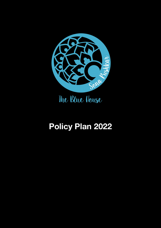

# **Policy Plan 2022**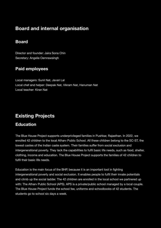## **Board and internal organisation**

#### **Board**

Director and founder: Jaira Sona Chin Secretary: Angelie Oemrawsingh

#### **Paid employees**

Local managers: Sunil Nat, Javari Lal Local chef and helper: Deepak Nat, Vikram Nat, Hanuman Nat Local teacher: Kiran Nat

# **Existing Projects**

#### **Education**

The Blue House Project supports underprivileged families in Pushkar, Rajasthan. In 2022, we enrolled 42 children to the local Atharv Public School. All these children belong to the SC-ST, the lowest castes of the Indian caste system. Their families suffer from social exclusion and intergenerational poverty. They lack the capabilities to fulfil basic life needs, such as food, shelter, clothing, income and education. The Blue House Project supports the families of 42 children to fulfil their basic life needs.

Education is the main focus of the BHP, because it is an important tool in fighting intergenerational poverty and social exclusion. It enables people to fulfil their innate potentials and climb up the social ladder. The 42 children are enrolled in the local school we partnered up with: The Atharv Public School (APS). APS is a private/public school managed by a local couple. The Blue House Project funds the school fee, uniforms and schoolbooks of 42 students. The students go to school six days a week.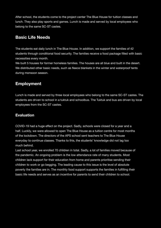After school, the students come to the project center The Blue House for tuition classes and lunch. They also play sports and games. Lunch is made and served by local employees who belong to the same SC-ST castes.

#### **Basic Life Needs**

The students eat daily lunch in The Blue House. In addition, we support the families of 42 students through conditional food security. The families receive a food package filled with basic necessities every month.

We built 5 houses for former homeless families. The houses are all blue and built in the desert. We distributed other basic needs, such as fleece blankets in the winter and waterproof tents during monsoon season.

#### **Employment**

Lunch is made and served by three local employees who belong to the same SC-ST castes. The students are driven to school in a tuktuk and schoolbus. The Tuktuk and bus are driven by local employees from the SC-ST castes.

#### **Evaluation**

COVID-19 had a huge effect on the project. Sadly, schools were closed for a year and a half. Luckily, we were allowed to open The Blue House as a tuition centre for most months of the lockdown. The directors of the APS school sent teachers to The Blue House everyday to continue classes. Thanks to this, the students' knowledge did not lag too much behind. 

Last school year, we enrolled 70 children in total. Sadly, a lot of families moved because of the pandemic. An ongoing problem is the low attendance rate of many students. Most children lack support for their education from home and parents prioritise sending their children to work or go begging. The leading cause to this issue is the level of absolute poverty the families are in. The monthly food support supports the families in fulfilling their basic life needs and serves as an incentive for parents to send their children to school.